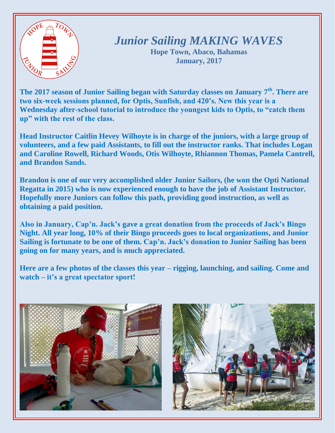

*Junior Sailing MAKING WAVES* **Hope Town, Abaco, Bahamas**

**January, 2017**

**The 2017 season of Junior Sailing began with Saturday classes on January 7th . There are two six-week sessions planned, for Optis, Sunfish, and 420's. New this year is a Wednesday after-school tutorial to introduce the youngest kids to Optis, to "catch them up" with the rest of the class.**

**Head Instructor Caitlin Hevey Wilhoyte is in charge of the juniors, with a large group of volunteers, and a few paid Assistants, to fill out the instructor ranks. That includes Logan and Caroline Rowell, Richard Woods, Otis Wilhoyte, Rhiannon Thomas, Pamela Cantrell, and Brandon Sands.**

**Brandon is one of our very accomplished older Junior Sailors, (he won the Opti National Regatta in 2015) who is now experienced enough to have the job of Assistant Instructor. Hopefully more Juniors can follow this path, providing good instruction, as well as obtaining a paid position.**

**Also in January, Cap'n. Jack's gave a great donation from the proceeds of Jack's Bingo Night. All year long, 10% of their Bingo proceeds goes to local organizations, and Junior Sailing is fortunate to be one of them. Cap'n. Jack's donation to Junior Sailing has been going on for many years, and is much appreciated.**

**Here are a few photos of the classes this year – rigging, launching, and sailing. Come and watch – it's a great spectator sport!**



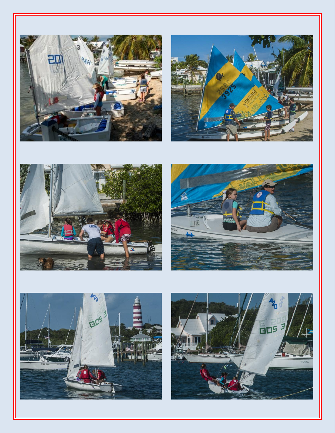